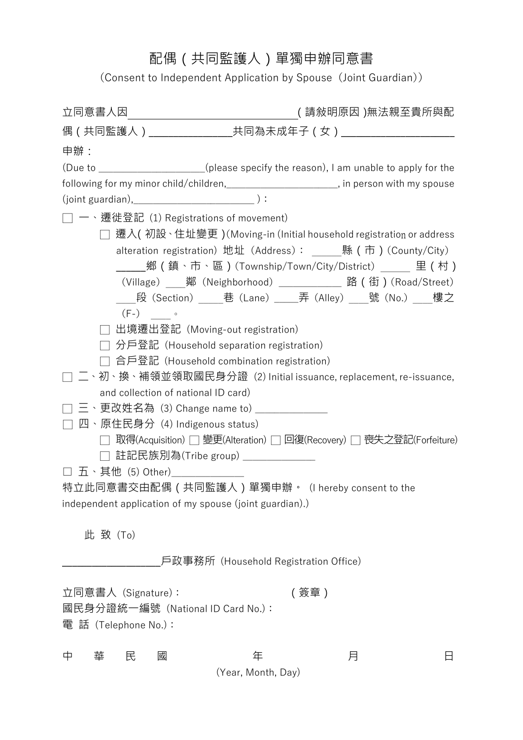## 配偶(共同監護人)單獨申辦同意書

(Consent to Independent Application by Spouse (Joint Guardian))

|                                                         | ( 請敍明原因 )無法親至貴所與配                                                                                            |  |
|---------------------------------------------------------|--------------------------------------------------------------------------------------------------------------|--|
|                                                         | 偶 (共同監護人)__________________共同為未成年子 (女)________________________                                               |  |
| 申辦:                                                     |                                                                                                              |  |
|                                                         | (Due to ___________________(please specify the reason), I am unable to apply for the                         |  |
|                                                         | following for my minor child/children,________________________, in person with my spouse                     |  |
|                                                         |                                                                                                              |  |
| 一、遷徙登記 (1) Registrations of movement)                   |                                                                                                              |  |
|                                                         | 遷入( 初設、住址變更 )(Moving-in (Initial household registration or address                                           |  |
|                                                         | alteration registration) 地址 (Address): _____縣 (市) (County/City)                                              |  |
|                                                         | _____鄉(鎮丶市丶區)(Township/Town/City/District)______ 里(村)                                                        |  |
|                                                         | (Village) ____鄰 (Neighborhood) _____________ 路 (街) (Road/Street)                                             |  |
|                                                         | ____段(Section)_____巷(Lane)_____弄(Alley)____號(No.)____樓之                                                      |  |
| $(F-)$ 。                                                |                                                                                                              |  |
| 出境遷出登記 (Moving-out registration)                        |                                                                                                              |  |
|                                                         | 分戶登記 (Household separation registration)                                                                     |  |
|                                                         | 合戶登記 (Household combination registration)<br>ニ丶初丶換丶補領並領取國民身分證(2) Initial issuance, replacement, re-issuance, |  |
| and collection of national ID card)                     |                                                                                                              |  |
| 三、更改姓名為 (3) Change name to) _______________             |                                                                                                              |  |
| 四、原住民身分 (4) Indigenous status)                          |                                                                                                              |  |
|                                                         | □ 取得(Acquisition) □ 變更(Alteration) □ 回復(Recovery) □ 喪失之登記(Forfeiture)                                        |  |
| □ 註記民族別為(Tribe group) _____________                     |                                                                                                              |  |
| □ 五、其他 (5) Other)_____________                          |                                                                                                              |  |
|                                                         | 特立此同意書交由配偶(共同監護人)單獨申辦。(I hereby consent to the                                                               |  |
| independent application of my spouse (joint guardian).) |                                                                                                              |  |
| 此致(To)                                                  |                                                                                                              |  |
|                                                         | 戶政事務所(Household Registration Office)                                                                         |  |
|                                                         |                                                                                                              |  |
| 立同意書人 (Signature):                                      | (簽章)                                                                                                         |  |
| 國民身分證統一編號(National ID Card No.):                        |                                                                                                              |  |
| 電 話 (Telephone No.):                                    |                                                                                                              |  |
|                                                         |                                                                                                              |  |
| 中<br>民<br>國<br>華                                        | 年<br>月                                                                                                       |  |
|                                                         | (Year, Month, Day)                                                                                           |  |